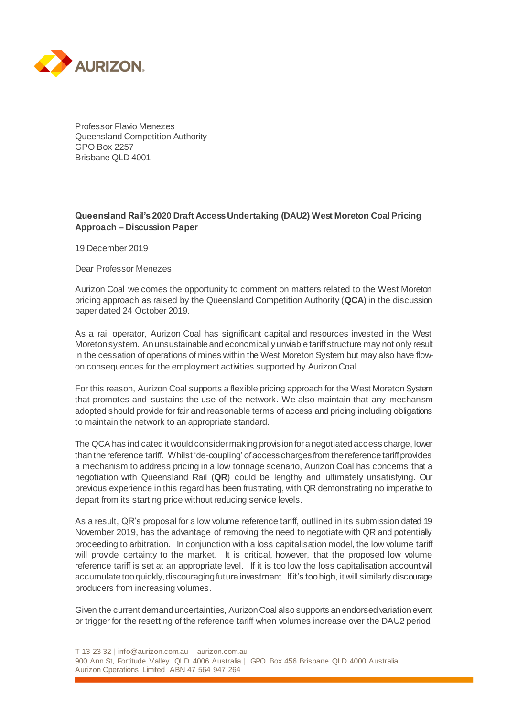

Professor Flavio Menezes Queensland Competition Authority GPO Box 2257 Brisbane QLD 4001

## **Queensland Rail's 2020 Draft Access Undertaking (DAU2) West Moreton Coal Pricing Approach – Discussion Paper**

19 December 2019

Dear Professor Menezes

Aurizon Coal welcomes the opportunity to comment on matters related to the West Moreton pricing approach as raised by the Queensland Competition Authority (**QCA**) in the discussion paper dated 24 October 2019.

As a rail operator, Aurizon Coal has significant capital and resources invested in the West Moreton system. An unsustainable and economically unviable tariff structure may not only result in the cessation of operations of mines within the West Moreton System but may also have flowon consequences for the employment activities supported by Aurizon Coal.

For this reason, Aurizon Coal supports a flexible pricing approach for the West Moreton System that promotes and sustains the use of the network. We also maintain that any mechanism adopted should provide for fair and reasonable terms of access and pricing including obligations to maintain the network to an appropriate standard.

The QCA has indicated it would consider making provision for a negotiated access charge, lower than the reference tariff. Whilst 'de-coupling' of access charges from the reference tariff provides a mechanism to address pricing in a low tonnage scenario, Aurizon Coal has concerns that a negotiation with Queensland Rail (**QR**) could be lengthy and ultimately unsatisfying. Our previous experience in this regard has been frustrating, with QR demonstrating no imperative to depart from its starting price without reducing service levels.

As a result, QR's proposal for a low volume reference tariff, outlined in its submission dated 19 November 2019, has the advantage of removing the need to negotiate with QR and potentially proceeding to arbitration. In conjunction with a loss capitalisation model, the low volume tariff will provide certainty to the market. It is critical, however, that the proposed low volume reference tariff is set at an appropriate level. If it is too low the loss capitalisation account will accumulate too quickly, discouraging future investment. If it's too high, it will similarly discourage producers from increasing volumes.

Given the current demand uncertainties, Aurizon Coal also supports an endorsed variation event or trigger for the resetting of the reference tariff when volumes increase over the DAU2 period.